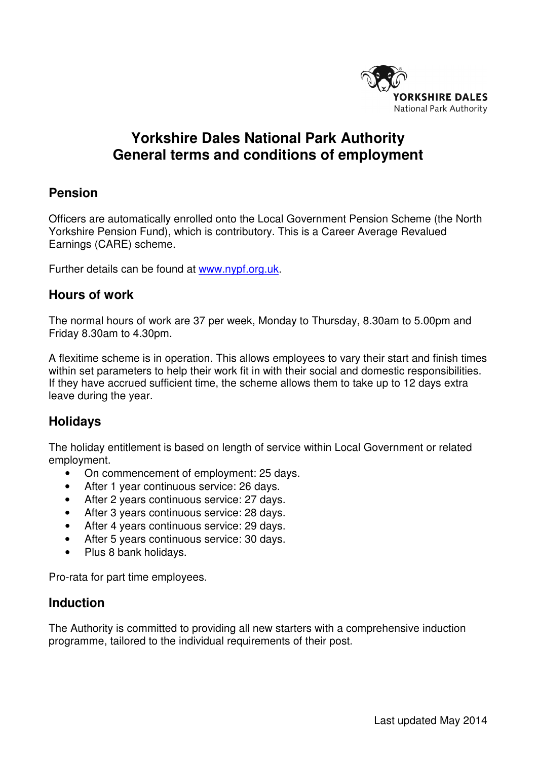

# **Yorkshire Dales National Park Authority General terms and conditions of employment**

# **Pension**

 Officers are automatically enrolled onto the Local Government Pension Scheme (the North Yorkshire Pension Fund), which is contributory. This is a Career Average Revalued Earnings (CARE) scheme.

Further details can be found at [www.nypf.org.uk.](www.nypf.org.uk)

### **Hours of work**

 The normal hours of work are 37 per week, Monday to Thursday, 8.30am to 5.00pm and Friday 8.30am to 4.30pm.

 A flexitime scheme is in operation. This allows employees to vary their start and finish times within set parameters to help their work fit in with their social and domestic responsibilities. If they have accrued sufficient time, the scheme allows them to take up to 12 days extra leave during the year.

### **Holidays**

 The holiday entitlement is based on length of service within Local Government or related employment.

- On commencement of employment: 25 days.
- After 1 year continuous service: 26 days.
- After 2 years continuous service: 27 days.
- After 3 years continuous service: 28 days.
- After 4 years continuous service: 29 days.
- After 5 years continuous service: 30 days.
- Plus 8 bank holidays.

Pro-rata for part time employees.

#### **Induction**

 The Authority is committed to providing all new starters with a comprehensive induction programme, tailored to the individual requirements of their post.